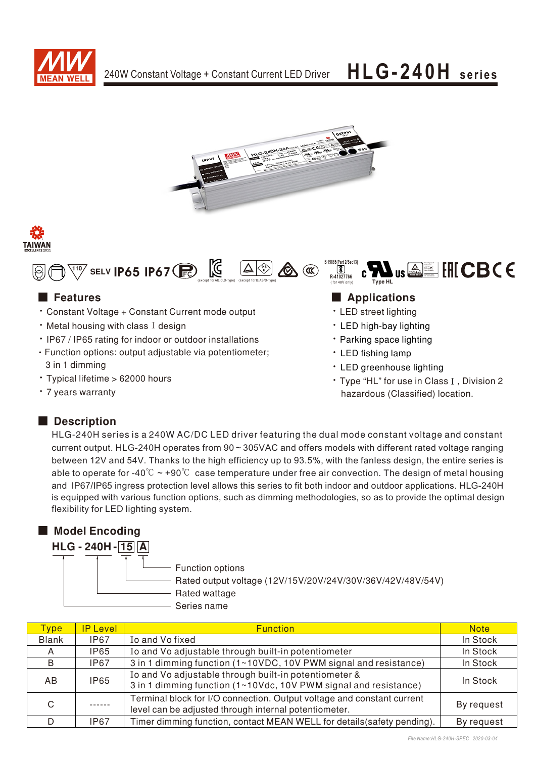







- Constant Voltage + Constant Current mode output
- $\cdot$  Metal housing with class I design
- IP67 / IP65 rating for indoor or outdoor installations
- Function options: output adjustable via potentiometer; 3 in 1 dimming
- · Typical lifetime > 62000 hours
- 7 years warranty

### Type HL Bauart gepruft<br>Sicherheit<br>Fred als bewer<br>Sie tusal für gem<br>Www.bar.com<br>10 200000000 **IS 15885(Part 2/Sec13) R-41027766** (for 48V only)

## ■ Features ■ Pressure and Pressure and Pressure and Pressure and Pressure and Pressure and Pressure and Pressure and Pressure and Pressure and Pressure and Pressure and Pressure and Pressure and Pressure and Pressure and

 $\boxed{8}$ 

- LED street lighting
- LED high-bay lighting
- Parking space lighting
- LED fishing lamp
- LED greenhouse lighting
- Type "HL" for use in Class I, Division 2 hazardous (Classified) location.

## ■ Description

HLG-240H series is a 240W AC/DC LED driver featuring the dual mode constant voltage and constant current output. HLG-240H operates from 90 ~ 305VAC and offers models with different rated voltage ranging between 12V and 54V. Thanks to the high efficiency up to 93.5%, with the fanless design, the entire series is able to operate for -40° $\degree$   $\sim$  +90 $\degree$  $\degree$  case temperature under free air convection. The design of metal housing and IP67/IP65 ingress protection level allows this series to fit both indoor and outdoor applications. HLG-240H is equipped with various function options, such as dimming methodologies, so as to provide the optimal design flexibility for LED lighting system.

## ■ Model Encoding

**HLG-240H-15A** 

- Function options

Rated output voltage (12V/15V/20V/24V/30V/36V/42V/48V/54V)

Rated wattage

- Series name

| <b>Type</b>  | <b>IP Level</b> | <b>Function</b>                                                                                                                 | <b>Note</b> |
|--------------|-----------------|---------------------------------------------------------------------------------------------------------------------------------|-------------|
| <b>Blank</b> | IP67            | Io and Vo fixed                                                                                                                 | In Stock    |
| A            | IP65            | Io and Vo adjustable through built-in potentiometer                                                                             | In Stock    |
| B            | IP67            | 3 in 1 dimming function (1~10VDC, 10V PWM signal and resistance)                                                                | In Stock    |
| AB.          | <b>IP65</b>     | Io and Vo adjustable through built-in potentiometer &<br>3 in 1 dimming function (1~10Vdc, 10V PWM signal and resistance)       | In Stock    |
| C            |                 | Terminal block for I/O connection. Output voltage and constant current<br>level can be adjusted through internal potentiometer. | By request  |
| D.           | IP67            | Timer dimming function, contact MEAN WELL for details (safety pending).                                                         | By request  |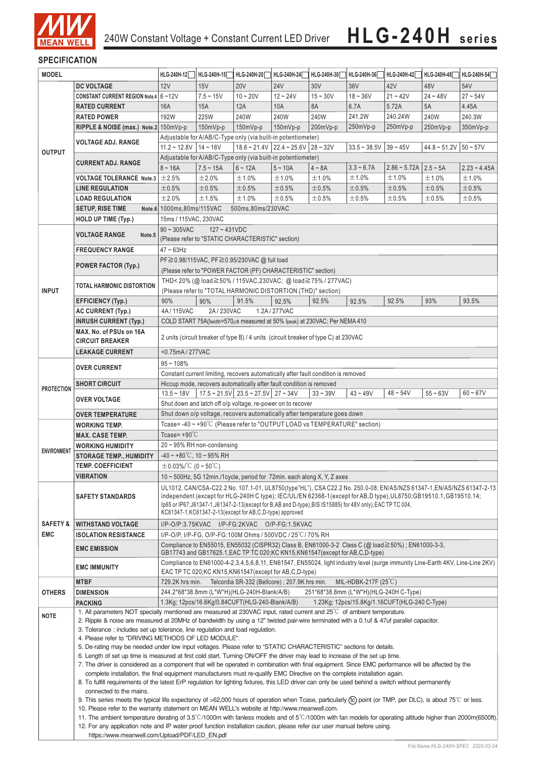

## **SPECIFICATION**

| <b>MODEL</b>        |                                                                                                                                                                                                                                                                                                                                                                                                                                                                                                                                         | HLG-240H-12                                                                                                                                                                                                                                              | HLG-240H-15 | HLG-240H-20                                     | HLG-240H-24                                                          | HLG-240H-30                                                                | HLG-240H-36                                   | HLG-240H-42                       | HLG-240H-48 | HLG-240H-54             |  |
|---------------------|-----------------------------------------------------------------------------------------------------------------------------------------------------------------------------------------------------------------------------------------------------------------------------------------------------------------------------------------------------------------------------------------------------------------------------------------------------------------------------------------------------------------------------------------|----------------------------------------------------------------------------------------------------------------------------------------------------------------------------------------------------------------------------------------------------------|-------------|-------------------------------------------------|----------------------------------------------------------------------|----------------------------------------------------------------------------|-----------------------------------------------|-----------------------------------|-------------|-------------------------|--|
|                     | <b>DC VOLTAGE</b>                                                                                                                                                                                                                                                                                                                                                                                                                                                                                                                       | 12V                                                                                                                                                                                                                                                      | 15V         | <b>20V</b>                                      | <b>24V</b>                                                           | 30V                                                                        | 36V                                           | 42V                               | 48V         | 54V                     |  |
|                     | CONSTANT CURRENT REGION Note.4 6~12V                                                                                                                                                                                                                                                                                                                                                                                                                                                                                                    |                                                                                                                                                                                                                                                          | $7.5 - 15V$ | $10 - 20V$                                      | $12 - 24V$                                                           | $15 - 30V$                                                                 | $18 - 36V$                                    | $21 - 42V$                        | $24 - 48V$  | $27 - 54V$              |  |
|                     | <b>RATED CURRENT</b>                                                                                                                                                                                                                                                                                                                                                                                                                                                                                                                    | <b>16A</b>                                                                                                                                                                                                                                               | 15A         | 12A                                             | 10A                                                                  | 8A                                                                         | 6.7A                                          | 5.72A                             | 5A          | 4.45A                   |  |
|                     | <b>RATED POWER</b>                                                                                                                                                                                                                                                                                                                                                                                                                                                                                                                      | 192W                                                                                                                                                                                                                                                     | 225W        | 240W                                            | 240W                                                                 | 240W                                                                       | 241.2W                                        | 240.24W                           | 240W        | 240.3W                  |  |
|                     | RIPPLE & NOISE (max.) Note.2 150mVp-p                                                                                                                                                                                                                                                                                                                                                                                                                                                                                                   |                                                                                                                                                                                                                                                          | 150mVp-p    | 150mVp-p                                        | 150mVp-p                                                             | 200mVp-p                                                                   | 250mVp-p                                      | 250mVp-p                          | 250mVp-p    | $350mVp-p$              |  |
|                     |                                                                                                                                                                                                                                                                                                                                                                                                                                                                                                                                         |                                                                                                                                                                                                                                                          |             |                                                 |                                                                      |                                                                            |                                               |                                   |             |                         |  |
|                     | <b>VOLTAGE ADJ. RANGE</b>                                                                                                                                                                                                                                                                                                                                                                                                                                                                                                               | Adjustable for A/AB/C-Type only (via built-in potentiometer)                                                                                                                                                                                             |             |                                                 |                                                                      |                                                                            |                                               |                                   |             |                         |  |
| <b>OUTPUT</b>       |                                                                                                                                                                                                                                                                                                                                                                                                                                                                                                                                         | $11.2 \sim 12.8V$   14 ~ 16V<br>$18.6 \approx 21.4 \text{V}$ 22.4 $\approx 25.6 \text{V}$ 28 $\approx 32 \text{V}$<br>$44.8 \sim 51.2 \text{V}$ 50 ~ 57V<br>$33.5 - 38.5V$<br>$39 - 45V$<br>Adjustable for A/AB/C-Type only (via built-in potentiometer) |             |                                                 |                                                                      |                                                                            |                                               |                                   |             |                         |  |
|                     | <b>CURRENT ADJ. RANGE</b>                                                                                                                                                                                                                                                                                                                                                                                                                                                                                                               | $8 - 16A$                                                                                                                                                                                                                                                | $7.5 - 15A$ | $6 - 12A$                                       | $5 \sim 10A$                                                         | $4 \sim 8A$                                                                | $3.3 - 6.7A$                                  | $2.86 \sim 5.72A$   $2.5 \sim 5A$ |             |                         |  |
|                     | <b>VOLTAGE TOLERANCE Note.3</b> $\pm 2.5\%$                                                                                                                                                                                                                                                                                                                                                                                                                                                                                             |                                                                                                                                                                                                                                                          | ±2.0%       | ±1.0%                                           | ±1.0%                                                                | ±1.0%                                                                      | ±1.0%                                         | ±1.0%                             | ±1.0%       | $2.23 - 4.45A$<br>±1.0% |  |
|                     |                                                                                                                                                                                                                                                                                                                                                                                                                                                                                                                                         |                                                                                                                                                                                                                                                          |             | ±0.5%                                           |                                                                      | ±0.5%                                                                      |                                               |                                   |             |                         |  |
|                     | <b>LINE REGULATION</b>                                                                                                                                                                                                                                                                                                                                                                                                                                                                                                                  | ±0.5%                                                                                                                                                                                                                                                    | $\pm 0.5\%$ |                                                 | ±0.5%                                                                |                                                                            | ±0.5%                                         | ±0.5%                             | ±0.5%       | ±0.5%                   |  |
|                     | <b>LOAD REGULATION</b>                                                                                                                                                                                                                                                                                                                                                                                                                                                                                                                  | ±2.0%                                                                                                                                                                                                                                                    | ±1.5%       | ±1.0%                                           | ±0.5%                                                                | ±0.5%                                                                      | ±0.5%                                         | ±0.5%                             | ±0.5%       | ±0.5%                   |  |
|                     | <b>SETUP, RISE TIME</b>                                                                                                                                                                                                                                                                                                                                                                                                                                                                                                                 | Note.6 1000ms, 80ms/115VAC<br>500ms,80ms/230VAC                                                                                                                                                                                                          |             |                                                 |                                                                      |                                                                            |                                               |                                   |             |                         |  |
|                     | <b>HOLD UP TIME (Typ.)</b>                                                                                                                                                                                                                                                                                                                                                                                                                                                                                                              | 15ms / 115VAC, 230VAC                                                                                                                                                                                                                                    |             |                                                 |                                                                      |                                                                            |                                               |                                   |             |                         |  |
|                     | <b>VOLTAGE RANGE</b><br>Note.5                                                                                                                                                                                                                                                                                                                                                                                                                                                                                                          | $90 \sim 305$ VAC<br>$127 - 431VDC$                                                                                                                                                                                                                      |             |                                                 |                                                                      |                                                                            |                                               |                                   |             |                         |  |
|                     |                                                                                                                                                                                                                                                                                                                                                                                                                                                                                                                                         | (Please refer to "STATIC CHARACTERISTIC" section)                                                                                                                                                                                                        |             |                                                 |                                                                      |                                                                            |                                               |                                   |             |                         |  |
|                     | <b>FREQUENCY RANGE</b>                                                                                                                                                                                                                                                                                                                                                                                                                                                                                                                  | $47 \sim 63$ Hz                                                                                                                                                                                                                                          |             |                                                 |                                                                      |                                                                            |                                               |                                   |             |                         |  |
|                     | <b>POWER FACTOR (Typ.)</b>                                                                                                                                                                                                                                                                                                                                                                                                                                                                                                              | PF ≥ 0.98/115VAC, PF ≥ 0.95/230VAC @ full load                                                                                                                                                                                                           |             |                                                 |                                                                      |                                                                            |                                               |                                   |             |                         |  |
|                     |                                                                                                                                                                                                                                                                                                                                                                                                                                                                                                                                         | (Please refer to "POWER FACTOR (PF) CHARACTERISTIC" section)                                                                                                                                                                                             |             |                                                 |                                                                      |                                                                            |                                               |                                   |             |                         |  |
|                     | <b>TOTAL HARMONIC DISTORTION</b>                                                                                                                                                                                                                                                                                                                                                                                                                                                                                                        | THD< 20% (@ load≧50% / 115VAC, 230VAC; @ load≧75% / 277VAC)                                                                                                                                                                                              |             |                                                 |                                                                      |                                                                            |                                               |                                   |             |                         |  |
| <b>INPUT</b>        |                                                                                                                                                                                                                                                                                                                                                                                                                                                                                                                                         |                                                                                                                                                                                                                                                          |             |                                                 | (Please refer to "TOTAL HARMONIC DISTORTION (THD)" section)          |                                                                            |                                               |                                   |             |                         |  |
|                     | <b>EFFICIENCY (Typ.)</b>                                                                                                                                                                                                                                                                                                                                                                                                                                                                                                                | 90%                                                                                                                                                                                                                                                      | 90%         | 91.5%                                           | 92.5%                                                                | 92.5%                                                                      | 92.5%                                         | 92.5%                             | 93%         | 93.5%                   |  |
|                     | AC CURRENT (Typ.)                                                                                                                                                                                                                                                                                                                                                                                                                                                                                                                       | 4A/115VAC                                                                                                                                                                                                                                                | 2A/230VAC   |                                                 | 1.2A / 277VAC                                                        |                                                                            |                                               |                                   |             |                         |  |
|                     | <b>INRUSH CURRENT (Typ.)</b>                                                                                                                                                                                                                                                                                                                                                                                                                                                                                                            |                                                                                                                                                                                                                                                          |             |                                                 |                                                                      | COLD START 75A(twidth=570µs measured at 50% Ipeak) at 230VAC; Per NEMA 410 |                                               |                                   |             |                         |  |
|                     | MAX. No. of PSUs on 16A                                                                                                                                                                                                                                                                                                                                                                                                                                                                                                                 | 2 units (circuit breaker of type B) / 4 units (circuit breaker of type C) at 230VAC                                                                                                                                                                      |             |                                                 |                                                                      |                                                                            |                                               |                                   |             |                         |  |
|                     | <b>CIRCUIT BREAKER</b>                                                                                                                                                                                                                                                                                                                                                                                                                                                                                                                  |                                                                                                                                                                                                                                                          |             |                                                 |                                                                      |                                                                            |                                               |                                   |             |                         |  |
|                     | <b>LEAKAGE CURRENT</b>                                                                                                                                                                                                                                                                                                                                                                                                                                                                                                                  | <0.75mA/277VAC                                                                                                                                                                                                                                           |             |                                                 |                                                                      |                                                                            |                                               |                                   |             |                         |  |
|                     | <b>OVER CURRENT</b>                                                                                                                                                                                                                                                                                                                                                                                                                                                                                                                     | $95 - 108%$                                                                                                                                                                                                                                              |             |                                                 |                                                                      |                                                                            |                                               |                                   |             |                         |  |
|                     |                                                                                                                                                                                                                                                                                                                                                                                                                                                                                                                                         | Constant current limiting, recovers automatically after fault condition is removed                                                                                                                                                                       |             |                                                 |                                                                      |                                                                            |                                               |                                   |             |                         |  |
| <b>PROTECTION</b>   | <b>SHORT CIRCUIT</b>                                                                                                                                                                                                                                                                                                                                                                                                                                                                                                                    |                                                                                                                                                                                                                                                          |             |                                                 | Hiccup mode, recovers automatically after fault condition is removed |                                                                            |                                               |                                   |             |                         |  |
|                     | <b>OVER VOLTAGE</b>                                                                                                                                                                                                                                                                                                                                                                                                                                                                                                                     | $13.5 - 18V$                                                                                                                                                                                                                                             |             | 17.5 ~ 21.5V   23.5 ~ 27.5V   27 ~ 34V          |                                                                      | $33 - 39V$                                                                 | $43 - 49V$                                    | $48 - 54V$                        | $55 - 63V$  | $60 - 67V$              |  |
|                     |                                                                                                                                                                                                                                                                                                                                                                                                                                                                                                                                         |                                                                                                                                                                                                                                                          |             |                                                 | Shut down and latch off o/p voltage, re-power on to recover          |                                                                            |                                               |                                   |             |                         |  |
|                     | Shut down o/p voltage, recovers automatically after temperature goes down<br><b>OVER TEMPERATURE</b><br>Tcase=-40 ~ +90°C (Please refer to "OUTPUT LOAD vs TEMPERATURE" section)                                                                                                                                                                                                                                                                                                                                                        |                                                                                                                                                                                                                                                          |             |                                                 |                                                                      |                                                                            |                                               |                                   |             |                         |  |
|                     | <b>WORKING TEMP.</b>                                                                                                                                                                                                                                                                                                                                                                                                                                                                                                                    |                                                                                                                                                                                                                                                          |             |                                                 |                                                                      |                                                                            |                                               |                                   |             |                         |  |
|                     | <b>MAX. CASE TEMP.</b>                                                                                                                                                                                                                                                                                                                                                                                                                                                                                                                  | Tcase= $+90^{\circ}$ C                                                                                                                                                                                                                                   |             |                                                 |                                                                      |                                                                            |                                               |                                   |             |                         |  |
| <b>ENVIRONMENT</b>  | <b>WORKING HUMIDITY</b>                                                                                                                                                                                                                                                                                                                                                                                                                                                                                                                 | $20 \sim 95\%$ RH non-condensing                                                                                                                                                                                                                         |             |                                                 |                                                                      |                                                                            |                                               |                                   |             |                         |  |
|                     | <b>STORAGE TEMP., HUMIDITY</b>                                                                                                                                                                                                                                                                                                                                                                                                                                                                                                          | $-40 \sim +80^{\circ}$ C, 10 ~ 95% RH<br>$\pm$ 0.03%/°C (0~50°C)                                                                                                                                                                                         |             |                                                 |                                                                      |                                                                            |                                               |                                   |             |                         |  |
|                     | <b>TEMP. COEFFICIENT</b>                                                                                                                                                                                                                                                                                                                                                                                                                                                                                                                |                                                                                                                                                                                                                                                          |             |                                                 |                                                                      |                                                                            |                                               |                                   |             |                         |  |
|                     | <b>VIBRATION</b>                                                                                                                                                                                                                                                                                                                                                                                                                                                                                                                        | 10 $\sim$ 500Hz, 5G 12min./1 cycle, period for 72min. each along X, Y, Z axes                                                                                                                                                                            |             |                                                 |                                                                      |                                                                            |                                               |                                   |             |                         |  |
|                     | <b>SAFETY STANDARDS</b>                                                                                                                                                                                                                                                                                                                                                                                                                                                                                                                 | UL1012, CAN/CSA-C22.2 No. 107.1-01, UL8750(type"HL"), CSA C22.2 No. 250.0-08; EN/AS/NZS 61347-1, EN/AS/NZS 61347-2-13<br>independent (except for HLG-240H C type); IEC/UL/EN 62368-1(except for AB,D type), UL8750; GB19510.1, GB19510.14;               |             |                                                 |                                                                      |                                                                            |                                               |                                   |             |                         |  |
|                     |                                                                                                                                                                                                                                                                                                                                                                                                                                                                                                                                         | lp65 or IP67;J61347-1,J61347-2-13(except for B,AB and D-type),BIS IS15885(for 48V only),EAC TP TC 004,                                                                                                                                                   |             |                                                 |                                                                      |                                                                            |                                               |                                   |             |                         |  |
|                     |                                                                                                                                                                                                                                                                                                                                                                                                                                                                                                                                         | KC61347-1, KC61347-2-13 (except for AB, C, D-type) approved                                                                                                                                                                                              |             |                                                 |                                                                      |                                                                            |                                               |                                   |             |                         |  |
| <b>SAFETY &amp;</b> | <b>WITHSTAND VOLTAGE</b>                                                                                                                                                                                                                                                                                                                                                                                                                                                                                                                | I/P-O/P:3.75KVAC I/P-FG:2KVAC O/P-FG:1.5KVAC                                                                                                                                                                                                             |             |                                                 |                                                                      |                                                                            |                                               |                                   |             |                         |  |
| <b>EMC</b>          | <b>ISOLATION RESISTANCE</b>                                                                                                                                                                                                                                                                                                                                                                                                                                                                                                             |                                                                                                                                                                                                                                                          |             |                                                 | I/P-O/P, I/P-FG, O/P-FG:100M Ohms / 500VDC / 25 °C/ 70% RH           |                                                                            |                                               |                                   |             |                         |  |
|                     | <b>EMC EMISSION</b>                                                                                                                                                                                                                                                                                                                                                                                                                                                                                                                     | Compliance to EN55015, EN55032 (CISPR32) Class B, EN61000-3-2 Class C (@ load≧50%) ; EN61000-3-3,                                                                                                                                                        |             |                                                 |                                                                      |                                                                            |                                               |                                   |             |                         |  |
|                     |                                                                                                                                                                                                                                                                                                                                                                                                                                                                                                                                         | GB17743 and GB17625.1, EAC TP TC 020; KC KN15, KN61547 (except for AB, C, D-type)                                                                                                                                                                        |             |                                                 |                                                                      |                                                                            |                                               |                                   |             |                         |  |
|                     | <b>EMC IMMUNITY</b>                                                                                                                                                                                                                                                                                                                                                                                                                                                                                                                     | Compliance to EN61000-4-2,3,4,5,6,8,11, EN61547, EN55024, light industry level (surge immunity Line-Earth 4KV, Line-Line 2KV)                                                                                                                            |             |                                                 |                                                                      |                                                                            |                                               |                                   |             |                         |  |
|                     |                                                                                                                                                                                                                                                                                                                                                                                                                                                                                                                                         | EAC TP TC 020;KC KN15,KN61547(except for AB,C,D-type)                                                                                                                                                                                                    |             |                                                 |                                                                      |                                                                            |                                               |                                   |             |                         |  |
| <b>OTHERS</b>       | <b>MTBF</b>                                                                                                                                                                                                                                                                                                                                                                                                                                                                                                                             | 729.2K hrs min.                                                                                                                                                                                                                                          |             |                                                 | Telcordia SR-332 (Bellcore); 207.9K hrs min.                         |                                                                            | MIL-HDBK-217F $(25^{\circ}C)$                 |                                   |             |                         |  |
|                     | <b>DIMENSION</b>                                                                                                                                                                                                                                                                                                                                                                                                                                                                                                                        |                                                                                                                                                                                                                                                          |             | 244.2*68*38.8mm (L*W*H)(HLG-240H-Blank/A/B)     |                                                                      | 251*68*38.8mm (L*W*H)(HLG-240H C-Type)                                     |                                               |                                   |             |                         |  |
|                     | <b>PACKING</b>                                                                                                                                                                                                                                                                                                                                                                                                                                                                                                                          |                                                                                                                                                                                                                                                          |             | 1.3Kg; 12pcs/16.6Kg/0.84CUFT(HLG-240-Blank/A/B) |                                                                      |                                                                            | 1.23Kg; 12pcs/15.8Kg/1.16CUFT(HLG-240 C-Type) |                                   |             |                         |  |
| <b>NOTE</b>         | 1. All parameters NOT specially mentioned are measured at 230VAC input, rated current and 25°C of ambient temperature.<br>2. Ripple & noise are measured at 20MHz of bandwidth by using a 12" twisted pair-wire terminated with a 0.1uf & 47uf parallel capacitor.                                                                                                                                                                                                                                                                      |                                                                                                                                                                                                                                                          |             |                                                 |                                                                      |                                                                            |                                               |                                   |             |                         |  |
|                     | 3. Tolerance: includes set up tolerance, line regulation and load regulation.                                                                                                                                                                                                                                                                                                                                                                                                                                                           |                                                                                                                                                                                                                                                          |             |                                                 |                                                                      |                                                                            |                                               |                                   |             |                         |  |
|                     |                                                                                                                                                                                                                                                                                                                                                                                                                                                                                                                                         | 4. Please refer to "DRIVING METHODS OF LED MODULE".                                                                                                                                                                                                      |             |                                                 |                                                                      |                                                                            |                                               |                                   |             |                         |  |
|                     | 5. De-rating may be needed under low input voltages. Please refer to "STATIC CHARACTERISTIC" sections for details.<br>6. Length of set up time is measured at first cold start. Turning ON/OFF the driver may lead to increase of the set up time.<br>7. The driver is considered as a component that will be operated in combination with final equipment. Since EMC performance will be affected by the<br>complete installation, the final equipment manufacturers must re-qualify EMC Directive on the complete installation again. |                                                                                                                                                                                                                                                          |             |                                                 |                                                                      |                                                                            |                                               |                                   |             |                         |  |
|                     |                                                                                                                                                                                                                                                                                                                                                                                                                                                                                                                                         |                                                                                                                                                                                                                                                          |             |                                                 |                                                                      |                                                                            |                                               |                                   |             |                         |  |
|                     |                                                                                                                                                                                                                                                                                                                                                                                                                                                                                                                                         |                                                                                                                                                                                                                                                          |             |                                                 |                                                                      |                                                                            |                                               |                                   |             |                         |  |
|                     |                                                                                                                                                                                                                                                                                                                                                                                                                                                                                                                                         |                                                                                                                                                                                                                                                          |             |                                                 |                                                                      |                                                                            |                                               |                                   |             |                         |  |
|                     |                                                                                                                                                                                                                                                                                                                                                                                                                                                                                                                                         | 8. To fulfill requirements of the latest ErP regulation for lighting fixtures, this LED driver can only be used behind a switch without permanently                                                                                                      |             |                                                 |                                                                      |                                                                            |                                               |                                   |             |                         |  |
|                     | connected to the mains.                                                                                                                                                                                                                                                                                                                                                                                                                                                                                                                 | 9. This series meets the typical life expectancy of >62,000 hours of operation when Tcase, particularly (tc) point (or TMP, per DLC), is about 75 °C or less.                                                                                            |             |                                                 |                                                                      |                                                                            |                                               |                                   |             |                         |  |
|                     |                                                                                                                                                                                                                                                                                                                                                                                                                                                                                                                                         | 10. Please refer to the warranty statement on MEAN WELL's website at http://www.meanwell.com.                                                                                                                                                            |             |                                                 |                                                                      |                                                                            |                                               |                                   |             |                         |  |
|                     |                                                                                                                                                                                                                                                                                                                                                                                                                                                                                                                                         | 11. The ambient temperature derating of $3.5^{\circ}$ C/1000m with fanless models and of $5^{\circ}$ C/1000m with fan models for operating altitude higher than 2000m(6500ft).                                                                           |             |                                                 |                                                                      |                                                                            |                                               |                                   |             |                         |  |
|                     |                                                                                                                                                                                                                                                                                                                                                                                                                                                                                                                                         | 12. For any application note and IP water proof function installation caution, please refer our user manual before using.                                                                                                                                |             |                                                 |                                                                      |                                                                            |                                               |                                   |             |                         |  |
|                     | https://www.meanwell.com/Upload/PDF/LED EN.pdf                                                                                                                                                                                                                                                                                                                                                                                                                                                                                          |                                                                                                                                                                                                                                                          |             |                                                 |                                                                      |                                                                            |                                               |                                   |             |                         |  |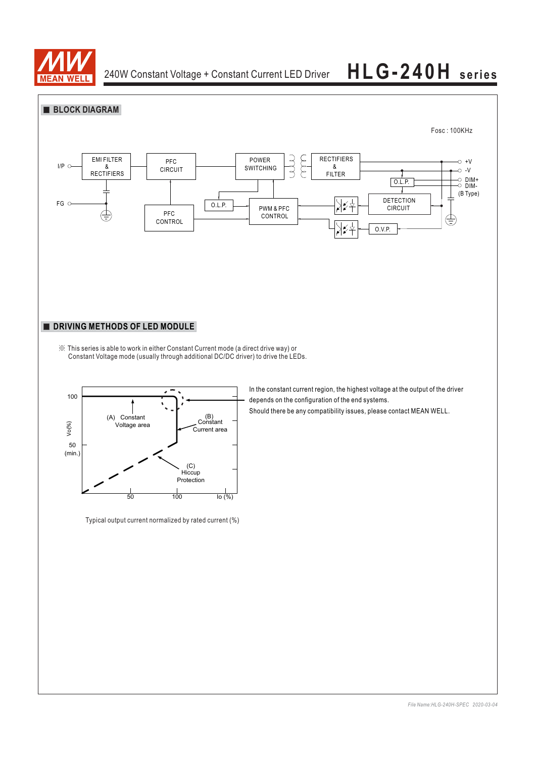



Typical output current normalized by rated current (%)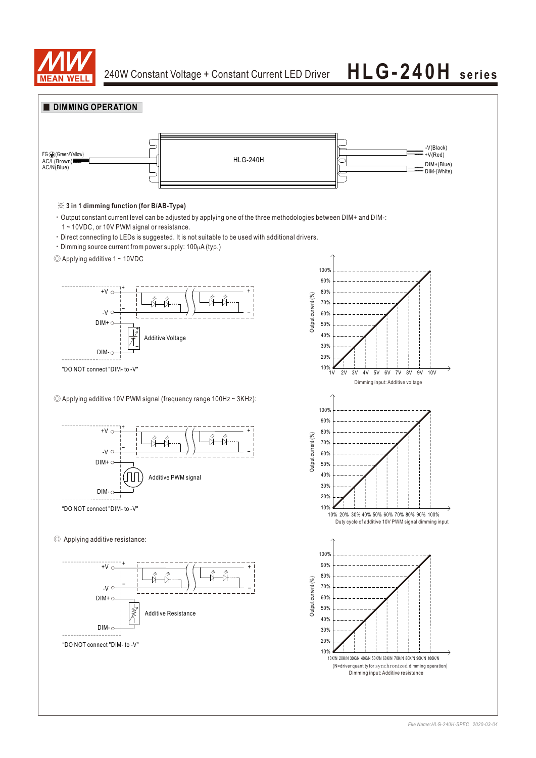

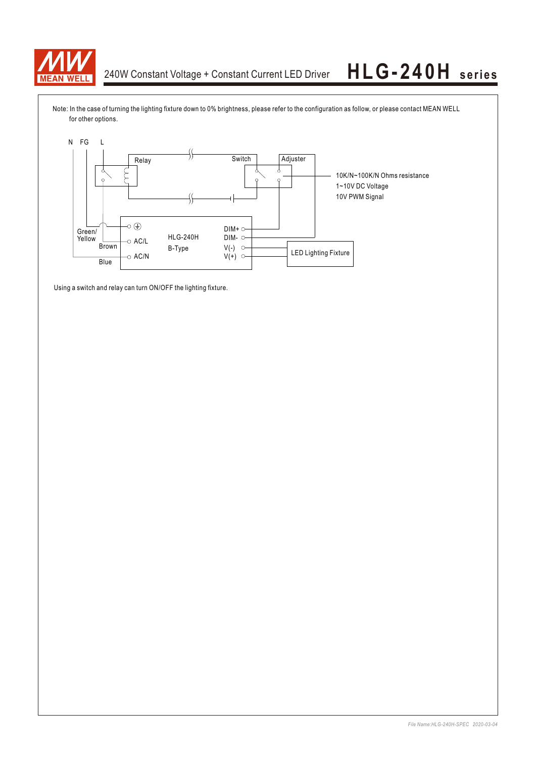

Note: In the case of turning the lighting fixture down to 0% brightness, please refer to the configuration as follow, or please contact MEAN WELL for other options.



Using a switch and relay can turn ON/OFF the lighting fixture.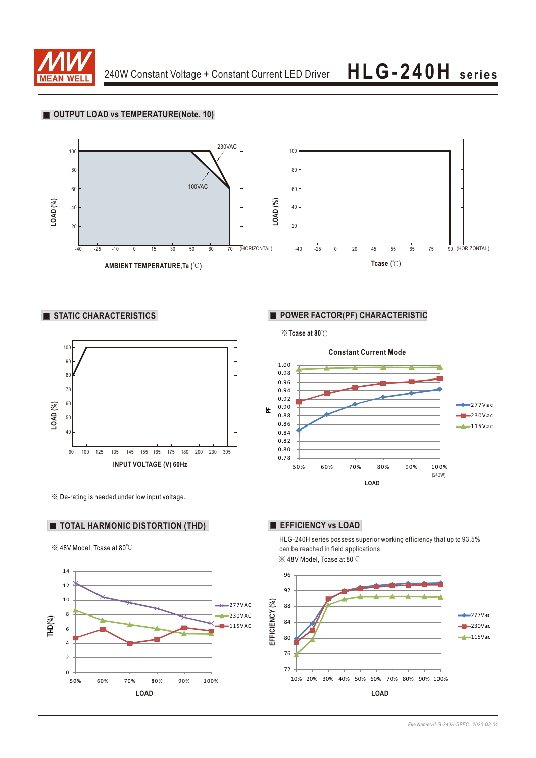

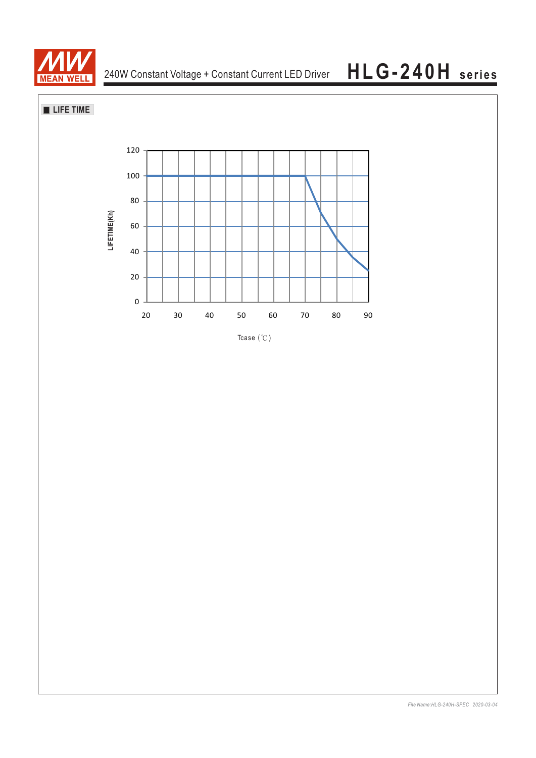

**LIFE TIME**

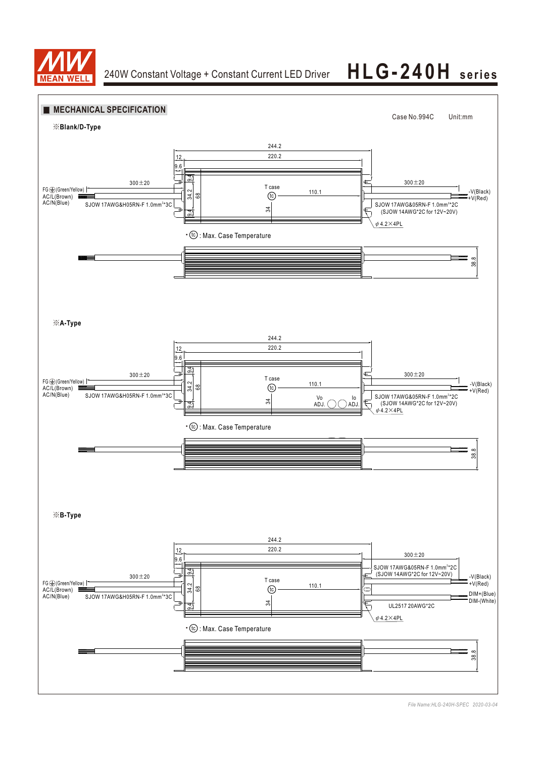

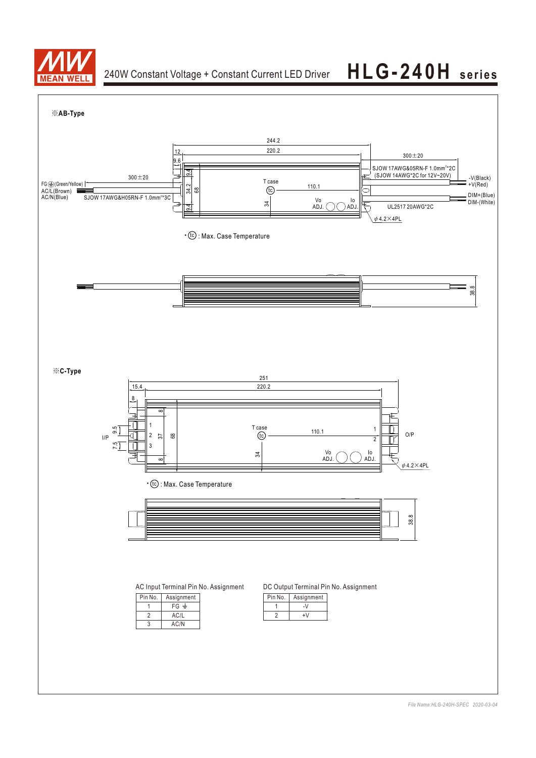